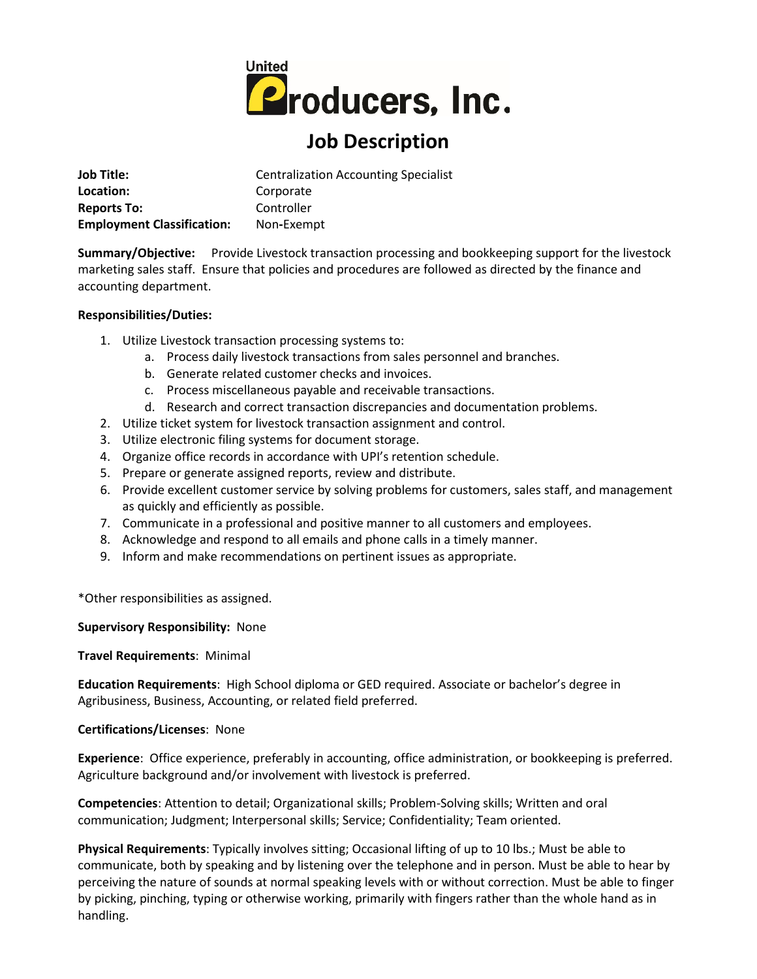

# **Job Description**

| <b>Job Title:</b>                 | <b>Centralization Accounting Specialist</b> |
|-----------------------------------|---------------------------------------------|
| Location:                         | Corporate                                   |
| <b>Reports To:</b>                | Controller                                  |
| <b>Employment Classification:</b> | Non-Exempt                                  |

**Summary/Objective:** Provide Livestock transaction processing and bookkeeping support for the livestock marketing sales staff. Ensure that policies and procedures are followed as directed by the finance and accounting department.

### **Responsibilities/Duties:**

- 1. Utilize Livestock transaction processing systems to:
	- a. Process daily livestock transactions from sales personnel and branches.
	- b. Generate related customer checks and invoices.
	- c. Process miscellaneous payable and receivable transactions.
	- d. Research and correct transaction discrepancies and documentation problems.
- 2. Utilize ticket system for livestock transaction assignment and control.
- 3. Utilize electronic filing systems for document storage.
- 4. Organize office records in accordance with UPI's retention schedule.
- 5. Prepare or generate assigned reports, review and distribute.
- 6. Provide excellent customer service by solving problems for customers, sales staff, and management as quickly and efficiently as possible.
- 7. Communicate in a professional and positive manner to all customers and employees.
- 8. Acknowledge and respond to all emails and phone calls in a timely manner.
- 9. Inform and make recommendations on pertinent issues as appropriate.

\*Other responsibilities as assigned.

## **Supervisory Responsibility:** None

## **Travel Requirements**: Minimal

**Education Requirements**: High School diploma or GED required. Associate or bachelor's degree in Agribusiness, Business, Accounting, or related field preferred.

## **Certifications/Licenses**: None

**Experience**: Office experience, preferably in accounting, office administration, or bookkeeping is preferred. Agriculture background and/or involvement with livestock is preferred.

**Competencies**: Attention to detail; Organizational skills; Problem-Solving skills; Written and oral communication; Judgment; Interpersonal skills; Service; Confidentiality; Team oriented.

**Physical Requirements**: Typically involves sitting; Occasional lifting of up to 10 lbs.; Must be able to communicate, both by speaking and by listening over the telephone and in person. Must be able to hear by perceiving the nature of sounds at normal speaking levels with or without correction. Must be able to finger by picking, pinching, typing or otherwise working, primarily with fingers rather than the whole hand as in handling.